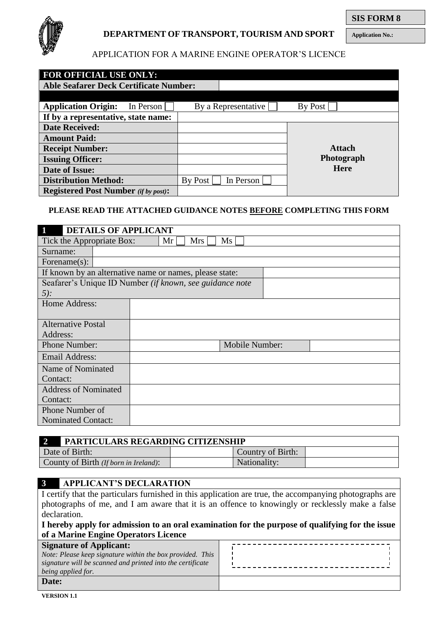

# **DEPARTMENT OF TRANSPORT, TOURISM AND SPORT**

# APPLICATION FOR A MARINE ENGINE OPERATOR'S LICENCE

| <b>FOR OFFICIAL USE ONLY:</b>                 |                      |               |
|-----------------------------------------------|----------------------|---------------|
| <b>Able Seafarer Deck Certificate Number:</b> |                      |               |
|                                               |                      |               |
| <b>Application Origin:</b><br>In Person       | By a Representative  | By Post       |
| If by a representative, state name:           |                      |               |
| <b>Date Received:</b>                         |                      |               |
| <b>Amount Paid:</b>                           |                      |               |
| <b>Receipt Number:</b>                        |                      | <b>Attach</b> |
| <b>Issuing Officer:</b>                       |                      | Photograph    |
| Date of Issue:                                |                      | <b>Here</b>   |
| <b>Distribution Method:</b>                   | By Post<br>In Person |               |
| <b>Registered Post Number</b> (if by post):   |                      |               |

### **PLEASE READ THE ATTACHED GUIDANCE NOTES BEFORE COMPLETING THIS FORM**

| <b>DETAILS OF APPLICANT</b>                               |                                                          |  |  |  |
|-----------------------------------------------------------|----------------------------------------------------------|--|--|--|
| Tick the Appropriate Box:<br>Ms<br>Mr <sub>l</sub><br>Mrs |                                                          |  |  |  |
| Surname:                                                  |                                                          |  |  |  |
| Forename $(s)$ :                                          |                                                          |  |  |  |
|                                                           | If known by an alternative name or names, please state:  |  |  |  |
|                                                           | Seafarer's Unique ID Number (if known, see guidance note |  |  |  |
| $5$ :                                                     |                                                          |  |  |  |
| Home Address:                                             |                                                          |  |  |  |
|                                                           |                                                          |  |  |  |
| <b>Alternative Postal</b>                                 |                                                          |  |  |  |
| Address:                                                  |                                                          |  |  |  |
| Phone Number:                                             | Mobile Number:                                           |  |  |  |
| <b>Email Address:</b>                                     |                                                          |  |  |  |
| Name of Nominated                                         |                                                          |  |  |  |
| Contact:                                                  |                                                          |  |  |  |
| <b>Address of Nominated</b>                               |                                                          |  |  |  |
| Contact:                                                  |                                                          |  |  |  |
| Phone Number of                                           |                                                          |  |  |  |
| <b>Nominated Contact:</b>                                 |                                                          |  |  |  |

| <b>I PARTICULARS REGARDING CITIZENSHIP</b> |                   |  |  |  |
|--------------------------------------------|-------------------|--|--|--|
| Date of Birth:                             | Country of Birth: |  |  |  |
| County of Birth (If born in Ireland):      | Nationality:      |  |  |  |

# **3 APPLICANT'S DECLARATION**

I certify that the particulars furnished in this application are true, the accompanying photographs are photographs of me, and I am aware that it is an offence to knowingly or recklessly make a false declaration.

| I hereby apply for admission to an oral examination for the purpose of qualifying for the issue |
|-------------------------------------------------------------------------------------------------|
| of a Marine Engine Operators Licence                                                            |

| <b>Signature of Applicant:</b>                             |  |
|------------------------------------------------------------|--|
| Note: Please keep signature within the box provided. This  |  |
| signature will be scanned and printed into the certificate |  |
| being applied for.                                         |  |
| Date:                                                      |  |

**Application No.:**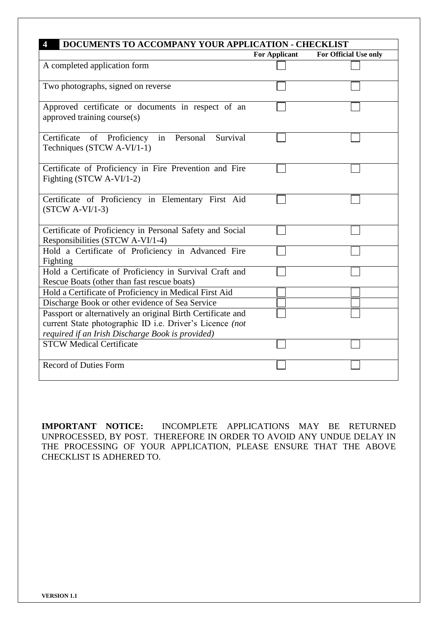| <b>DOCUMENTS TO ACCOMPANY YOUR APPLICATION - CHECKLIST</b>                                                              | <b>For Applicant</b> | For Official Use only |
|-------------------------------------------------------------------------------------------------------------------------|----------------------|-----------------------|
| A completed application form                                                                                            |                      |                       |
| Two photographs, signed on reverse                                                                                      |                      |                       |
| Approved certificate or documents in respect of an<br>approved training course(s)                                       |                      |                       |
| Survival<br>Certificate<br>of<br>Proficiency<br>Personal<br>in<br>Techniques (STCW A-VI/1-1)                            |                      |                       |
| Certificate of Proficiency in Fire Prevention and Fire<br>Fighting (STCW A-VI/1-2)                                      |                      |                       |
| Certificate of Proficiency in Elementary First Aid<br>$(STCW A-VI/1-3)$                                                 |                      |                       |
| Certificate of Proficiency in Personal Safety and Social<br>Responsibilities (STCW A-VI/1-4)                            |                      |                       |
| Hold a Certificate of Proficiency in Advanced Fire<br>Fighting                                                          |                      |                       |
| Hold a Certificate of Proficiency in Survival Craft and<br>Rescue Boats (other than fast rescue boats)                  |                      |                       |
| Hold a Certificate of Proficiency in Medical First Aid                                                                  |                      |                       |
| Discharge Book or other evidence of Sea Service                                                                         |                      |                       |
| Passport or alternatively an original Birth Certificate and<br>current State photographic ID i.e. Driver's Licence (not |                      |                       |
| required if an Irish Discharge Book is provided)<br><b>STCW Medical Certificate</b>                                     |                      |                       |
| <b>Record of Duties Form</b>                                                                                            |                      |                       |

**IMPORTANT NOTICE:** INCOMPLETE APPLICATIONS MAY BE RETURNED UNPROCESSED, BY POST. THEREFORE IN ORDER TO AVOID ANY UNDUE DELAY IN THE PROCESSING OF YOUR APPLICATION, PLEASE ENSURE THAT THE ABOVE CHECKLIST IS ADHERED TO.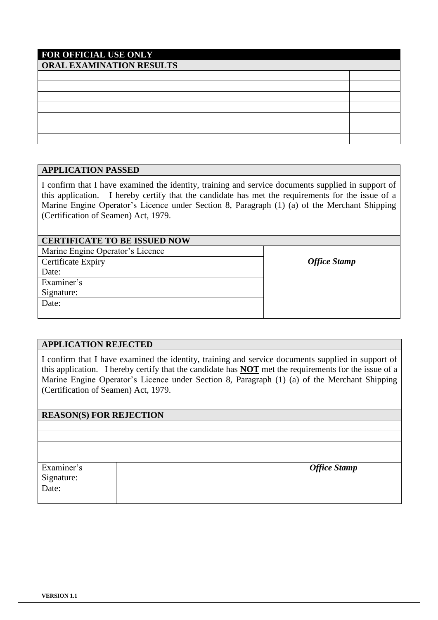| <b>FOR OFFICIAL USE ONLY</b> |  |  |  |  |
|------------------------------|--|--|--|--|
| ORAL EXAMINATION RESULTS     |  |  |  |  |
|                              |  |  |  |  |
|                              |  |  |  |  |
|                              |  |  |  |  |
|                              |  |  |  |  |
|                              |  |  |  |  |
|                              |  |  |  |  |
|                              |  |  |  |  |

### **APPLICATION PASSED**

I confirm that I have examined the identity, training and service documents supplied in support of this application. I hereby certify that the candidate has met the requirements for the issue of a Marine Engine Operator's Licence under Section 8, Paragraph (1) (a) of the Merchant Shipping (Certification of Seamen) Act, 1979.

| <b>CERTIFICATE TO BE ISSUED NOW</b> |  |                     |  |  |
|-------------------------------------|--|---------------------|--|--|
| Marine Engine Operator's Licence    |  |                     |  |  |
| Certificate Expiry                  |  | <b>Office Stamp</b> |  |  |
| Date:                               |  |                     |  |  |
| Examiner's                          |  |                     |  |  |
| Signature:                          |  |                     |  |  |
| Date:                               |  |                     |  |  |
|                                     |  |                     |  |  |

### **APPLICATION REJECTED**

I confirm that I have examined the identity, training and service documents supplied in support of this application. I hereby certify that the candidate has **NOT** met the requirements for the issue of a Marine Engine Operator's Licence under Section 8, Paragraph (1) (a) of the Merchant Shipping (Certification of Seamen) Act, 1979.

# **REASON(S) FOR REJECTION**

| Examiner's | <b>Office Stamp</b> |
|------------|---------------------|
| Signature: |                     |
| Date:      |                     |
|            |                     |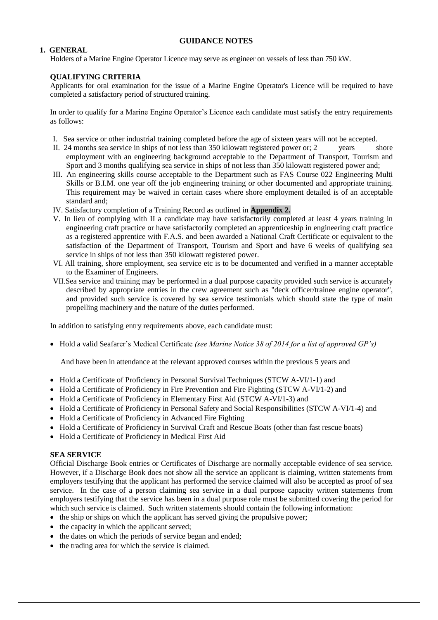#### **GUIDANCE NOTES**

#### **1. GENERAL**

Holders of a Marine Engine Operator Licence may serve as engineer on vessels of less than 750 kW.

#### **QUALIFYING CRITERIA**

Applicants for oral examination for the issue of a Marine Engine Operator's Licence will be required to have completed a satisfactory period of structured training.

In order to qualify for a Marine Engine Operator's Licence each candidate must satisfy the entry requirements as follows:

- I. Sea service or other industrial training completed before the age of sixteen years will not be accepted.
- II. 24 months sea service in ships of not less than 350 kilowatt registered power or; 2 vears shore employment with an engineering background acceptable to the Department of Transport, Tourism and Sport and 3 months qualifying sea service in ships of not less than 350 kilowatt registered power and;
- III. An engineering skills course acceptable to the Department such as FAS Course 022 Engineering Multi Skills or B.I.M. one year off the job engineering training or other documented and appropriate training. This requirement may be waived in certain cases where shore employment detailed is of an acceptable standard and;
- IV. Satisfactory completion of a Training Record as outlined in **Appendix 2.**
- V. In lieu of complying with II a candidate may have satisfactorily completed at least 4 years training in engineering craft practice or have satisfactorily completed an apprenticeship in engineering craft practice as a registered apprentice with F.A.S. and been awarded a National Craft Certificate or equivalent to the satisfaction of the Department of Transport, Tourism and Sport and have 6 weeks of qualifying sea service in ships of not less than 350 kilowatt registered power.
- VI. All training, shore employment, sea service etc is to be documented and verified in a manner acceptable to the Examiner of Engineers.
- VII.Sea service and training may be performed in a dual purpose capacity provided such service is accurately described by appropriate entries in the crew agreement such as "deck officer/trainee engine operator", and provided such service is covered by sea service testimonials which should state the type of main propelling machinery and the nature of the duties performed.

In addition to satisfying entry requirements above, each candidate must:

• Hold a valid Seafarer's Medical Certificate *(see Marine Notice 38 of 2014 for a list of approved GP's)* 

And have been in attendance at the relevant approved courses within the previous 5 years and

- $\bullet$  Hold a Certificate of Proficiency in Personal Survival Techniques (STCW A-VI/1-1) and
- Hold a Certificate of Proficiency in Fire Prevention and Fire Fighting (STCW A-VI/1-2) and
- Hold a Certificate of Proficiency in Elementary First Aid (STCW A-VI/1-3) and
- Hold a Certificate of Proficiency in Personal Safety and Social Responsibilities (STCW A-VI/1-4) and
- Hold a Certificate of Proficiency in Advanced Fire Fighting
- Hold a Certificate of Proficiency in Survival Craft and Rescue Boats (other than fast rescue boats)
- Hold a Certificate of Proficiency in Medical First Aid

#### **SEA SERVICE**

Official Discharge Book entries or Certificates of Discharge are normally acceptable evidence of sea service. However, if a Discharge Book does not show all the service an applicant is claiming, written statements from employers testifying that the applicant has performed the service claimed will also be accepted as proof of sea service. In the case of a person claiming sea service in a dual purpose capacity written statements from employers testifying that the service has been in a dual purpose role must be submitted covering the period for which such service is claimed. Such written statements should contain the following information:

- the ship or ships on which the applicant has served giving the propulsive power;
- the capacity in which the applicant served;
- $\bullet$  the dates on which the periods of service began and ended;
- the trading area for which the service is claimed.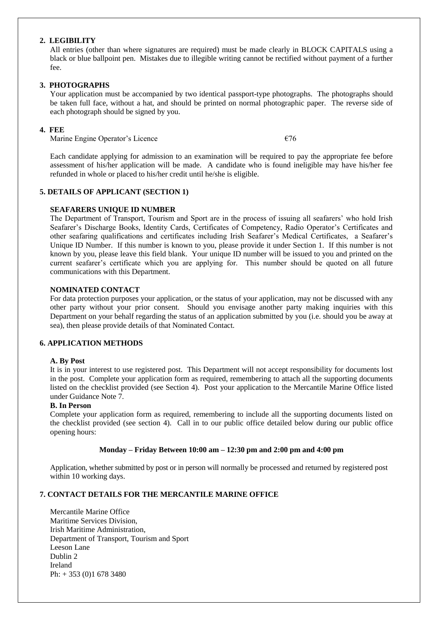#### **2. LEGIBILITY**

All entries (other than where signatures are required) must be made clearly in BLOCK CAPITALS using a black or blue ballpoint pen. Mistakes due to illegible writing cannot be rectified without payment of a further fee.

#### **3. PHOTOGRAPHS**

Your application must be accompanied by two identical passport-type photographs. The photographs should be taken full face, without a hat, and should be printed on normal photographic paper. The reverse side of each photograph should be signed by you.

#### **4. FEE**

Marine Engine Operator's Licence  $\epsilon$  676

Each candidate applying for admission to an examination will be required to pay the appropriate fee before assessment of his/her application will be made. A candidate who is found ineligible may have his/her fee refunded in whole or placed to his/her credit until he/she is eligible.

### **5. DETAILS OF APPLICANT (SECTION 1)**

#### **SEAFARERS UNIQUE ID NUMBER**

The Department of Transport, Tourism and Sport are in the process of issuing all seafarers' who hold Irish Seafarer's Discharge Books, Identity Cards, Certificates of Competency, Radio Operator's Certificates and other seafaring qualifications and certificates including Irish Seafarer's Medical Certificates, a Seafarer's Unique ID Number. If this number is known to you, please provide it under Section 1. If this number is not known by you, please leave this field blank. Your unique ID number will be issued to you and printed on the current seafarer's certificate which you are applying for. This number should be quoted on all future communications with this Department.

#### **NOMINATED CONTACT**

For data protection purposes your application, or the status of your application, may not be discussed with any other party without your prior consent. Should you envisage another party making inquiries with this Department on your behalf regarding the status of an application submitted by you (i.e. should you be away at sea), then please provide details of that Nominated Contact.

#### **6. APPLICATION METHODS**

#### **A. By Post**

It is in your interest to use registered post. This Department will not accept responsibility for documents lost in the post. Complete your application form as required, remembering to attach all the supporting documents listed on the checklist provided (see Section 4). Post your application to the Mercantile Marine Office listed under Guidance Note 7.

#### **B. In Person**

Complete your application form as required, remembering to include all the supporting documents listed on the checklist provided (see section 4). Call in to our public office detailed below during our public office opening hours:

#### **Monday – Friday Between 10:00 am – 12:30 pm and 2:00 pm and 4:00 pm**

Application, whether submitted by post or in person will normally be processed and returned by registered post within 10 working days.

#### **7. CONTACT DETAILS FOR THE MERCANTILE MARINE OFFICE**

Mercantile Marine Office Maritime Services Division, Irish Maritime Administration, Department of Transport, Tourism and Sport Leeson Lane Dublin 2 Ireland Ph: + 353 (0)1 678 3480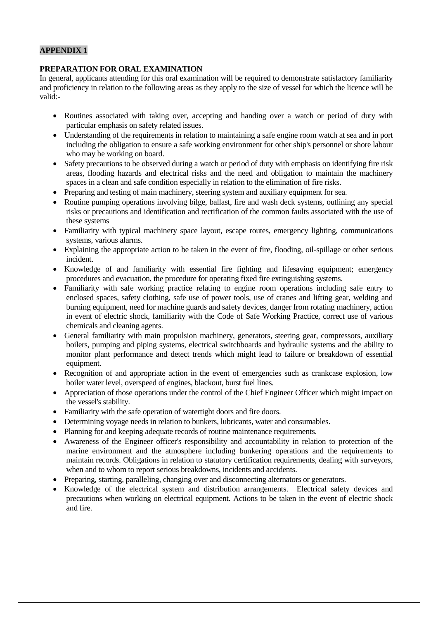## **APPENDIX 1**

#### **PREPARATION FOR ORAL EXAMINATION**

In general, applicants attending for this oral examination will be required to demonstrate satisfactory familiarity and proficiency in relation to the following areas as they apply to the size of vessel for which the licence will be valid:-

- Routines associated with taking over, accepting and handing over a watch or period of duty with particular emphasis on safety related issues.
- Understanding of the requirements in relation to maintaining a safe engine room watch at sea and in port including the obligation to ensure a safe working environment for other ship's personnel or shore labour who may be working on board.
- Safety precautions to be observed during a watch or period of duty with emphasis on identifying fire risk areas, flooding hazards and electrical risks and the need and obligation to maintain the machinery spaces in a clean and safe condition especially in relation to the elimination of fire risks.
- Preparing and testing of main machinery, steering system and auxiliary equipment for sea.
- Routine pumping operations involving bilge, ballast, fire and wash deck systems, outlining any special risks or precautions and identification and rectification of the common faults associated with the use of these systems
- Familiarity with typical machinery space layout, escape routes, emergency lighting, communications systems, various alarms.
- Explaining the appropriate action to be taken in the event of fire, flooding, oil-spillage or other serious incident.
- Knowledge of and familiarity with essential fire fighting and lifesaving equipment; emergency procedures and evacuation, the procedure for operating fixed fire extinguishing systems.
- Familiarity with safe working practice relating to engine room operations including safe entry to enclosed spaces, safety clothing, safe use of power tools, use of cranes and lifting gear, welding and burning equipment, need for machine guards and safety devices, danger from rotating machinery, action in event of electric shock, familiarity with the Code of Safe Working Practice, correct use of various chemicals and cleaning agents.
- General familiarity with main propulsion machinery, generators, steering gear, compressors, auxiliary boilers, pumping and piping systems, electrical switchboards and hydraulic systems and the ability to monitor plant performance and detect trends which might lead to failure or breakdown of essential equipment.
- Recognition of and appropriate action in the event of emergencies such as crankcase explosion, low boiler water level, overspeed of engines, blackout, burst fuel lines.
- Appreciation of those operations under the control of the Chief Engineer Officer which might impact on the vessel's stability.
- Familiarity with the safe operation of watertight doors and fire doors.
- Determining voyage needs in relation to bunkers, lubricants, water and consumables.
- Planning for and keeping adequate records of routine maintenance requirements.
- Awareness of the Engineer officer's responsibility and accountability in relation to protection of the marine environment and the atmosphere including bunkering operations and the requirements to maintain records. Obligations in relation to statutory certification requirements, dealing with surveyors, when and to whom to report serious breakdowns, incidents and accidents.
- Preparing, starting, paralleling, changing over and disconnecting alternators or generators.
- Knowledge of the electrical system and distribution arrangements. Electrical safety devices and precautions when working on electrical equipment. Actions to be taken in the event of electric shock and fire.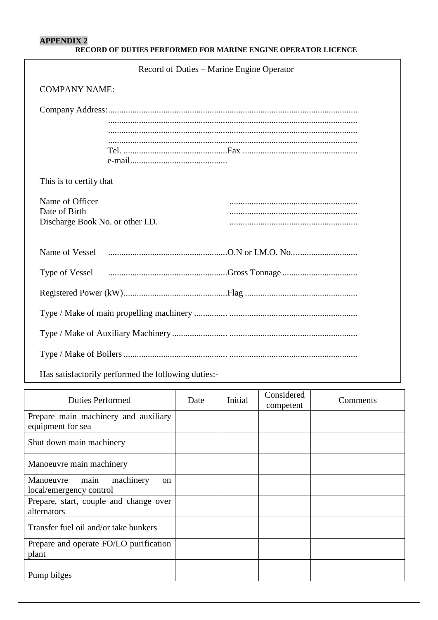# **APPENDIX 2**

| Record of Duties – Marine Engine Operator                                                                |  |  |  |
|----------------------------------------------------------------------------------------------------------|--|--|--|
| <b>COMPANY NAME:</b>                                                                                     |  |  |  |
|                                                                                                          |  |  |  |
| This is to certify that                                                                                  |  |  |  |
| Name of Officer<br>Date of Birth<br>Discharge Book No. or other I.D.                                     |  |  |  |
| Name of Vessel                                                                                           |  |  |  |
| Type of Vessel <i>manufacture contain the Cross Tonnage manufacture Cross</i> Tonnage and Type of Vessel |  |  |  |
|                                                                                                          |  |  |  |
|                                                                                                          |  |  |  |
|                                                                                                          |  |  |  |
|                                                                                                          |  |  |  |
| Has satisfactorily performed the following duties:-                                                      |  |  |  |

| <b>Duties Performed</b>                                                    | Date | Initial | Considered<br>competent | Comments |
|----------------------------------------------------------------------------|------|---------|-------------------------|----------|
| Prepare main machinery and auxiliary<br>equipment for sea                  |      |         |                         |          |
| Shut down main machinery                                                   |      |         |                         |          |
| Manoeuvre main machinery                                                   |      |         |                         |          |
| machinery<br>Manoeuvre<br>main<br><sub>on</sub><br>local/emergency control |      |         |                         |          |
| Prepare, start, couple and change over<br>alternators                      |      |         |                         |          |
| Transfer fuel oil and/or take bunkers                                      |      |         |                         |          |
| Prepare and operate FO/LO purification<br>plant                            |      |         |                         |          |
| Pump bilges                                                                |      |         |                         |          |